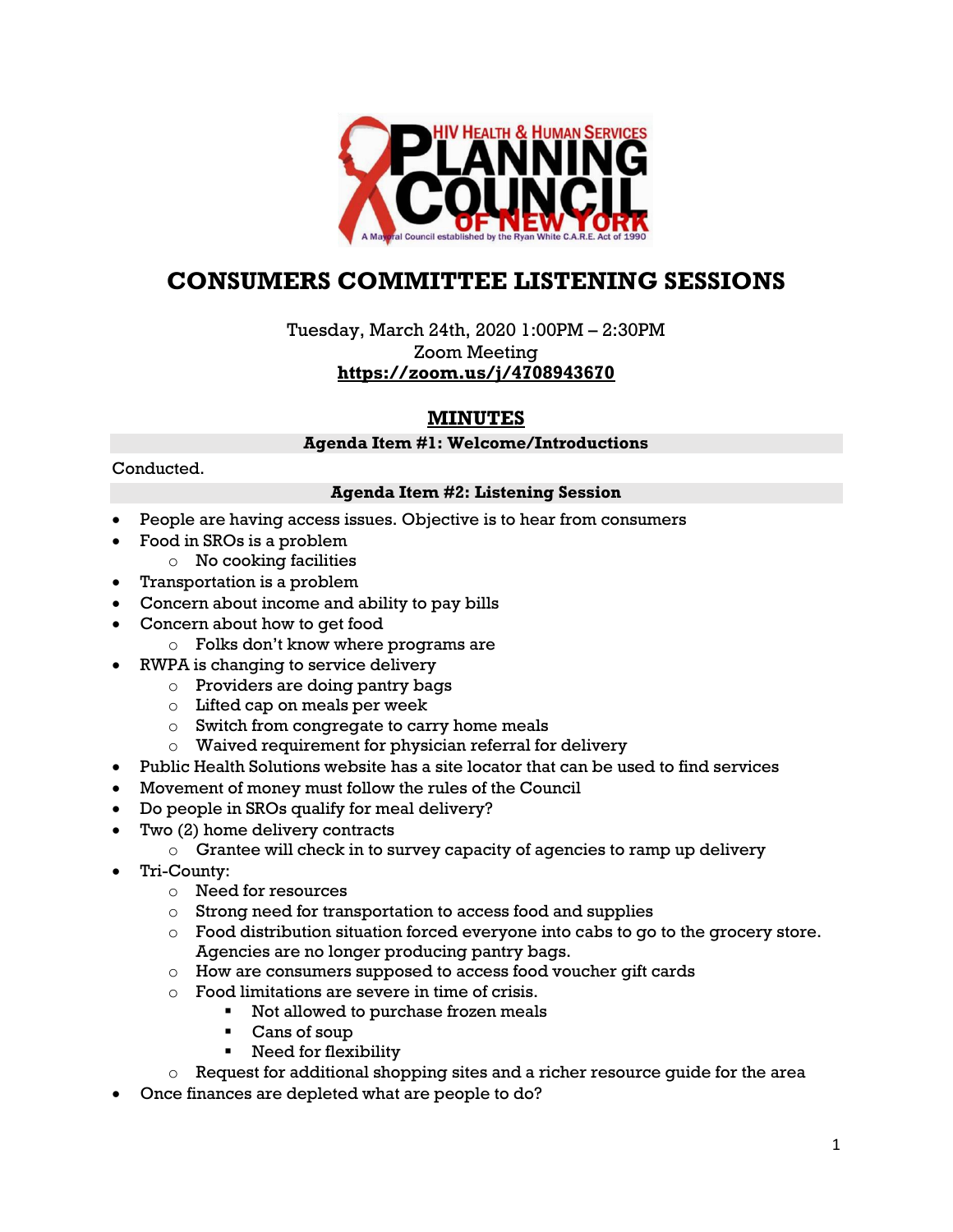

# **CONSUMERS COMMITTEE LISTENING SESSIONS**

Tuesday, March 24th, 2020 1:00PM – 2:30PM Zoom Meeting **<https://zoom.us/j/4708943670>**

## **MINUTES**

#### **Agenda Item #1: Welcome/Introductions**

#### Conducted.

#### **Agenda Item #2: Listening Session**

- People are having access issues. Objective is to hear from consumers
- Food in SROs is a problem
	- $\circ$  No cooking facilities
	- Transportation is a problem
- Concern about income and ability to pay bills
- Concern about how to get food
	- o Folks don't know where programs are
- RWPA is changing to service delivery
	- o Providers are doing pantry bags
	- o Lifted cap on meals per week
	- o Switch from congregate to carry home meals
	- o Waived requirement for physician referral for delivery
- Public Health Solutions website has a site locator that can be used to find services
- Movement of money must follow the rules of the Council
- Do people in SROs qualify for meal delivery?
- Two (2) home delivery contracts
	- $\circ$  Grantee will check in to survey capacity of agencies to ramp up delivery
- Tri-County:
	- o Need for resources
	- o Strong need for transportation to access food and supplies
	- $\circ$  Food distribution situation forced everyone into cabs to go to the grocery store. Agencies are no longer producing pantry bags.
	- o How are consumers supposed to access food voucher gift cards
	- o Food limitations are severe in time of crisis.
		- Not allowed to purchase frozen meals
		- Cans of soup
		- **Need for flexibility**
	- o Request for additional shopping sites and a richer resource guide for the area
- Once finances are depleted what are people to do?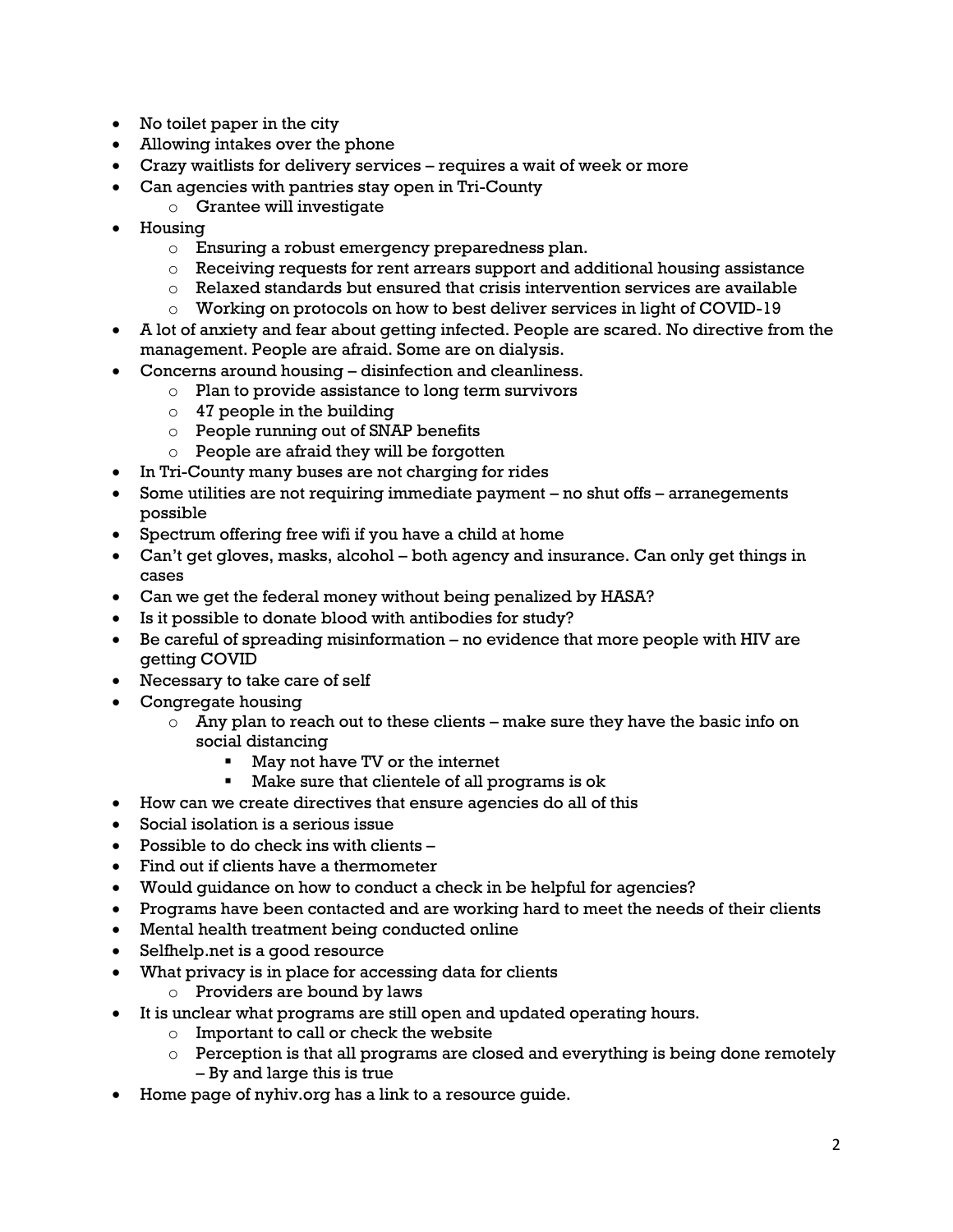- No toilet paper in the city
- Allowing intakes over the phone
- Crazy waitlists for delivery services requires a wait of week or more
- Can agencies with pantries stay open in Tri-County
	- o Grantee will investigate
- Housing
	- o Ensuring a robust emergency preparedness plan.
	- $\circ$  Receiving requests for rent arrears support and additional housing assistance
	- o Relaxed standards but ensured that crisis intervention services are available
	- o Working on protocols on how to best deliver services in light of COVID-19
- A lot of anxiety and fear about getting infected. People are scared. No directive from the management. People are afraid. Some are on dialysis.
- Concerns around housing disinfection and cleanliness.
	- o Plan to provide assistance to long term survivors
	- $\circ$  47 people in the building
	- o People running out of SNAP benefits
	- o People are afraid they will be forgotten
- In Tri-County many buses are not charging for rides
- Some utilities are not requiring immediate payment no shut offs arranegements possible
- Spectrum offering free wifi if you have a child at home
- Can't get gloves, masks, alcohol both agency and insurance. Can only get things in cases
- Can we get the federal money without being penalized by HASA?
- Is it possible to donate blood with antibodies for study?
- Be careful of spreading misinformation no evidence that more people with HIV are getting COVID
- Necessary to take care of self
- Congregate housing
	- $\circ$  Any plan to reach out to these clients make sure they have the basic info on social distancing
		- May not have TV or the internet
		- Make sure that clientele of all programs is ok
- How can we create directives that ensure agencies do all of this
- Social isolation is a serious issue
- Possible to do check ins with clients –
- Find out if clients have a thermometer
- Would guidance on how to conduct a check in be helpful for agencies?
- Programs have been contacted and are working hard to meet the needs of their clients
- Mental health treatment being conducted online
- Selfhelp.net is a good resource
- What privacy is in place for accessing data for clients
	- o Providers are bound by laws
- It is unclear what programs are still open and updated operating hours.
	- o Important to call or check the website
	- $\circ$  Perception is that all programs are closed and everything is being done remotely – By and large this is true
- Home page of nyhiv.org has a link to a resource guide.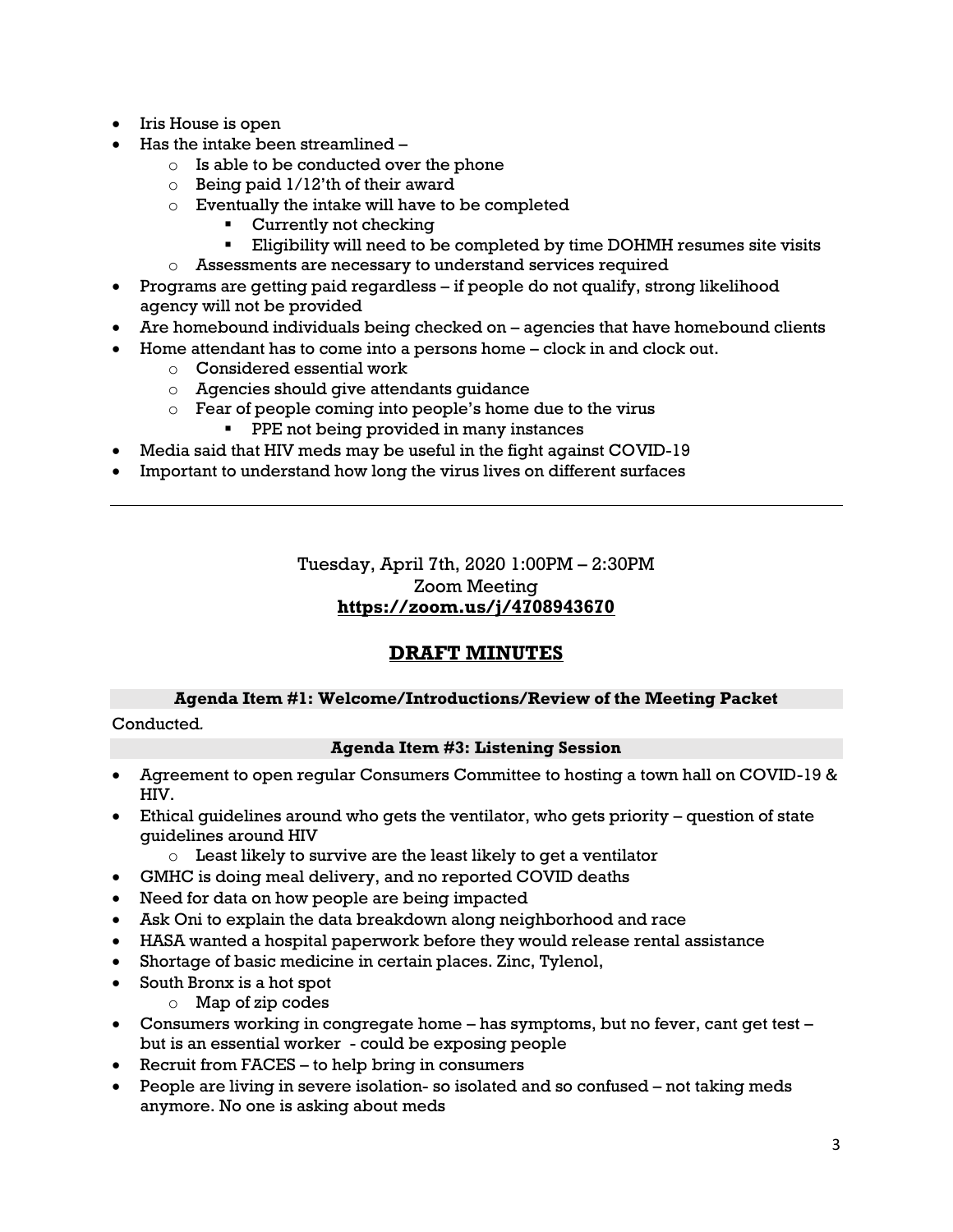- Iris House is open
- Has the intake been streamlined
	- o Is able to be conducted over the phone
	- $\circ$  Being paid 1/12'th of their award
	- o Eventually the intake will have to be completed
		- Currently not checking
		- Eligibility will need to be completed by time DOHMH resumes site visits
	- o Assessments are necessary to understand services required
- Programs are getting paid regardless if people do not qualify, strong likelihood agency will not be provided
- Are homebound individuals being checked on agencies that have homebound clients
- Home attendant has to come into a persons home clock in and clock out.
	- o Considered essential work
	- o Agencies should give attendants guidance
	- o Fear of people coming into people's home due to the virus
		- **PPE not being provided in many instances**
- Media said that HIV meds may be useful in the fight against COVID-19
- Important to understand how long the virus lives on different surfaces

Tuesday, April 7th, 2020 1:00PM – 2:30PM Zoom Meeting **<https://zoom.us/j/4708943670>**

## **DRAFT MINUTES**

### **Agenda Item #1: Welcome/Introductions/Review of the Meeting Packet**

Conducted*.*

#### **Agenda Item #3: Listening Session**

- Agreement to open regular Consumers Committee to hosting a town hall on COVID-19 & HIV.
- Ethical guidelines around who gets the ventilator, who gets priority question of state guidelines around HIV
	- $\circ$  Least likely to survive are the least likely to get a ventilator
- GMHC is doing meal delivery, and no reported COVID deaths
- Need for data on how people are being impacted
- Ask Oni to explain the data breakdown along neighborhood and race
- HASA wanted a hospital paperwork before they would release rental assistance
- Shortage of basic medicine in certain places. Zinc, Tylenol,
- South Bronx is a hot spot
	- o Map of zip codes
- Consumers working in congregate home has symptoms, but no fever, cant get test but is an essential worker - could be exposing people
- Recruit from FACES to help bring in consumers
- People are living in severe isolation- so isolated and so confused not taking meds anymore. No one is asking about meds